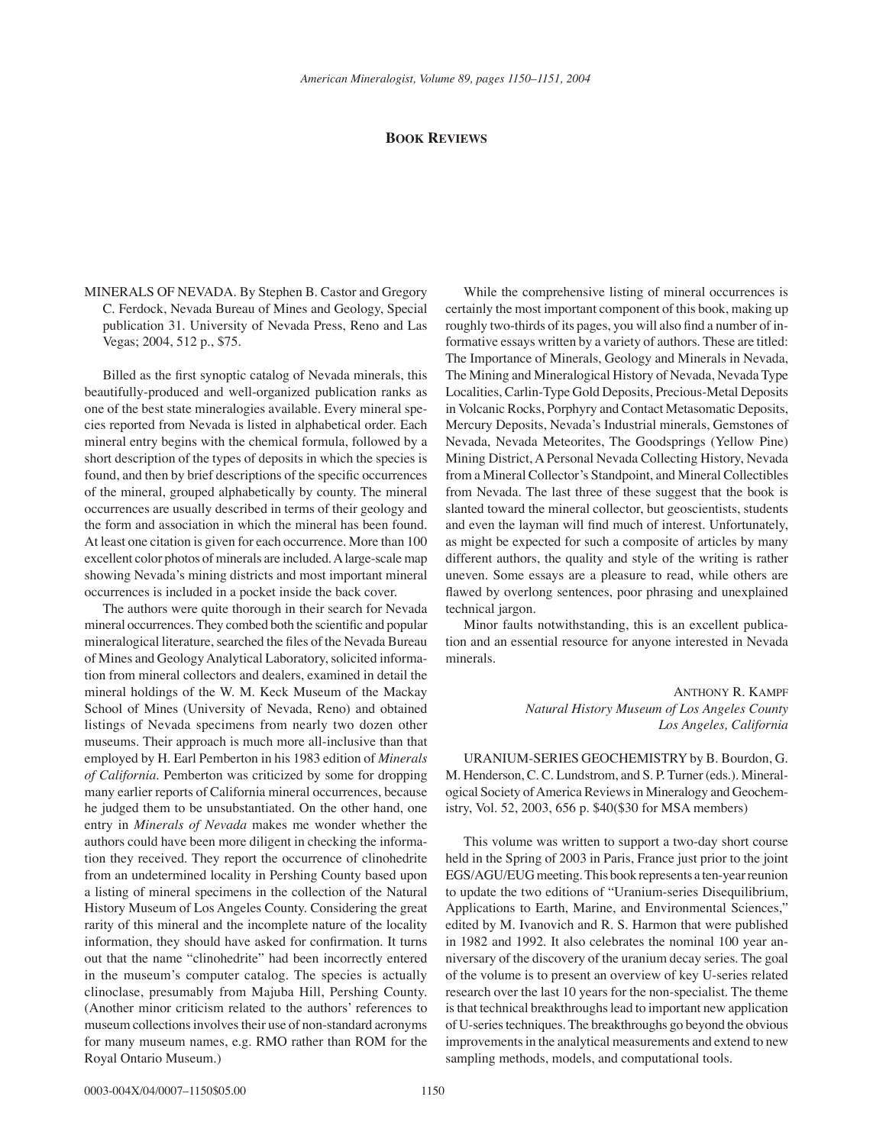## **BOOK REVIEWS**

MINERALS OF NEVADA. By Stephen B. Castor and Gregory C. Ferdock, Nevada Bureau of Mines and Geology, Special publication 31. University of Nevada Press, Reno and Las Vegas; 2004, 512 p., \$75.

Billed as the first synoptic catalog of Nevada minerals, this beautifully-produced and well-organized publication ranks as one of the best state mineralogies available. Every mineral species reported from Nevada is listed in alphabetical order. Each mineral entry begins with the chemical formula, followed by a short description of the types of deposits in which the species is found, and then by brief descriptions of the specific occurrences of the mineral, grouped alphabetically by county. The mineral occurrences are usually described in terms of their geology and the form and association in which the mineral has been found. At least one citation is given for each occurrence. More than 100 excellent color photos of minerals are included. A large-scale map showing Nevada's mining districts and most important mineral occurrences is included in a pocket inside the back cover.

The authors were quite thorough in their search for Nevada mineral occurrences. They combed both the scientific and popular mineralogical literature, searched the files of the Nevada Bureau of Mines and Geology Analytical Laboratory, solicited information from mineral collectors and dealers, examined in detail the mineral holdings of the W. M. Keck Museum of the Mackay School of Mines (University of Nevada, Reno) and obtained listings of Nevada specimens from nearly two dozen other museums. Their approach is much more all-inclusive than that employed by H. Earl Pemberton in his 1983 edition of *Minerals of California*. Pemberton was criticized by some for dropping many earlier reports of California mineral occurrences, because he judged them to be unsubstantiated. On the other hand, one entry in *Minerals of Nevada* makes me wonder whether the authors could have been more diligent in checking the information they received. They report the occurrence of clinohedrite from an undetermined locality in Pershing County based upon a listing of mineral specimens in the collection of the Natural History Museum of Los Angeles County. Considering the great rarity of this mineral and the incomplete nature of the locality information, they should have asked for confirmation. It turns out that the name "clinohedrite" had been incorrectly entered in the museum's computer catalog. The species is actually clinoclase, presumably from Majuba Hill, Pershing County. (Another minor criticism related to the authors' references to museum collections involves their use of non-standard acronyms for many museum names, e.g. RMO rather than ROM for the Royal Ontario Museum.)

While the comprehensive listing of mineral occurrences is certainly the most important component of this book, making up roughly two-thirds of its pages, you will also find a number of informative essays written by a variety of authors. These are titled: The Importance of Minerals, Geology and Minerals in Nevada, The Mining and Mineralogical History of Nevada, Nevada Type Localities, Carlin-Type Gold Deposits, Precious-Metal Deposits in Volcanic Rocks, Porphyry and Contact Metasomatic Deposits, Mercury Deposits, Nevada's Industrial minerals, Gemstones of Nevada, Nevada Meteorites, The Goodsprings (Yellow Pine) Mining District, A Personal Nevada Collecting History, Nevada from a Mineral Collector's Standpoint, and Mineral Collectibles from Nevada. The last three of these suggest that the book is slanted toward the mineral collector, but geoscientists, students and even the layman will find much of interest. Unfortunately, as might be expected for such a composite of articles by many different authors, the quality and style of the writing is rather uneven. Some essays are a pleasure to read, while others are flawed by overlong sentences, poor phrasing and unexplained technical jargon.

Minor faults notwithstanding, this is an excellent publication and an essential resource for anyone interested in Nevada minerals.

> ANTHONY R. KAMPF *Natural History Museum of Los Angeles County Los Angeles, California*

URANIUM-SERIES GEOCHEMISTRY by B. Bourdon, G. M. Henderson, C. C. Lundstrom, and S. P. Turner (eds.). Mineralogical Society of America Reviews in Mineralogy and Geochemistry, Vol. 52, 2003, 656 p. \$40(\$30 for MSA members)

This volume was written to support a two-day short course held in the Spring of 2003 in Paris, France just prior to the joint EGS/AGU/EUG meeting. This book represents a ten-year reunion to update the two editions of "Uranium-series Disequilibrium, Applications to Earth, Marine, and Environmental Sciences," edited by M. Ivanovich and R. S. Harmon that were published in 1982 and 1992. It also celebrates the nominal 100 year anniversary of the discovery of the uranium decay series. The goal of the volume is to present an overview of key U-series related research over the last 10 years for the non-specialist. The theme is that technical breakthroughs lead to important new application of U-series techniques. The breakthroughs go beyond the obvious improvements in the analytical measurements and extend to new sampling methods, models, and computational tools.